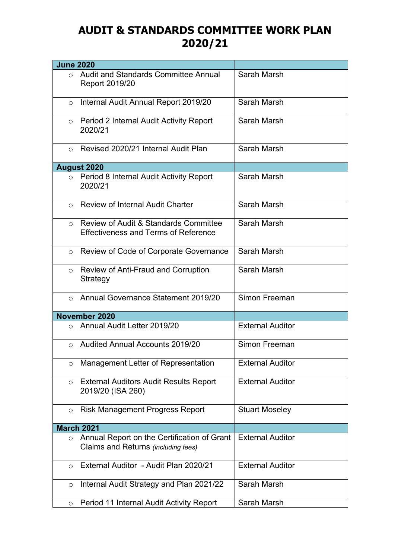## **AUDIT & STANDARDS COMMITTEE WORK PLAN 2020/21**

| <b>June 2020</b>  |                                                                                                 |                         |
|-------------------|-------------------------------------------------------------------------------------------------|-------------------------|
| $\Omega$          | Audit and Standards Committee Annual<br>Report 2019/20                                          | Sarah Marsh             |
| $\circ$           | Internal Audit Annual Report 2019/20                                                            | Sarah Marsh             |
| $\circ$           | Period 2 Internal Audit Activity Report<br>2020/21                                              | Sarah Marsh             |
| $\bigcirc$        | Revised 2020/21 Internal Audit Plan                                                             | Sarah Marsh             |
|                   | <b>August 2020</b>                                                                              |                         |
| $\circ$           | Period 8 Internal Audit Activity Report<br>2020/21                                              | Sarah Marsh             |
| $\circ$           | Review of Internal Audit Charter                                                                | Sarah Marsh             |
| $\circ$           | <b>Review of Audit &amp; Standards Committee</b><br><b>Effectiveness and Terms of Reference</b> | Sarah Marsh             |
| $\circ$           | Review of Code of Corporate Governance                                                          | Sarah Marsh             |
| $\circ$           | Review of Anti-Fraud and Corruption<br>Strategy                                                 | Sarah Marsh             |
| $\Omega$          | Annual Governance Statement 2019/20                                                             | Simon Freeman           |
|                   | November 2020                                                                                   |                         |
| $\bigcirc$        | Annual Audit Letter 2019/20                                                                     | <b>External Auditor</b> |
| $\Omega$          | <b>Audited Annual Accounts 2019/20</b>                                                          | Simon Freeman           |
| $\circ$           | Management Letter of Representation                                                             | <b>External Auditor</b> |
| $\circ$           | <b>External Auditors Audit Results Report</b><br>2019/20 (ISA 260)                              | <b>External Auditor</b> |
| $\circ$           | Risk Management Progress Report                                                                 | <b>Stuart Moseley</b>   |
| <b>March 2021</b> |                                                                                                 |                         |
| $\circ$           | Annual Report on the Certification of Grant<br>Claims and Returns (including fees)              | <b>External Auditor</b> |
| $\circ$           | External Auditor - Audit Plan 2020/21                                                           | <b>External Auditor</b> |
| $\circ$           | Internal Audit Strategy and Plan 2021/22                                                        | Sarah Marsh             |
| $\circ$           | Period 11 Internal Audit Activity Report                                                        | Sarah Marsh             |